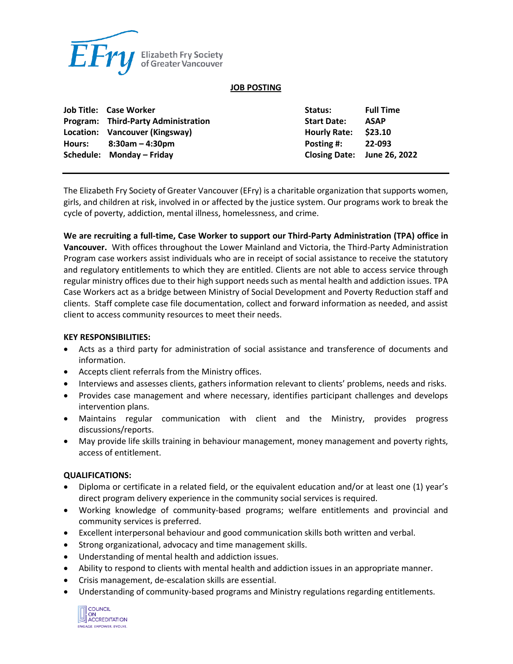

#### **JOB POSTING**

| Job Title: Case Worker              | Status:              | <b>Full Time</b>            |
|-------------------------------------|----------------------|-----------------------------|
| Program: Third-Party Administration | <b>Start Date:</b>   | <b>ASAP</b>                 |
| Location: Vancouver (Kingsway)      | Hourly Rate: \$23.10 |                             |
| Hours: $8:30am - 4:30dm$            | Posting #: $22-093$  |                             |
| Schedule: Monday - Friday           |                      | Closing Date: June 26, 2022 |

The Elizabeth Fry Society of Greater Vancouver (EFry) is a charitable organization that supports women, girls, and children at risk, involved in or affected by the justice system. Our programs work to break the cycle of poverty, addiction, mental illness, homelessness, and crime.

**We are recruiting a full-time, Case Worker to support our Third-Party Administration (TPA) office in Vancouver.** With offices throughout the Lower Mainland and Victoria, the Third-Party Administration Program case workers assist individuals who are in receipt of social assistance to receive the statutory and regulatory entitlements to which they are entitled. Clients are not able to access service through regular ministry offices due to their high support needs such as mental health and addiction issues. TPA Case Workers act as a bridge between Ministry of Social Development and Poverty Reduction staff and clients. Staff complete case file documentation, collect and forward information as needed, and assist client to access community resources to meet their needs.

#### **KEY RESPONSIBILITIES:**

- Acts as a third party for administration of social assistance and transference of documents and information.
- Accepts client referrals from the Ministry offices.
- Interviews and assesses clients, gathers information relevant to clients' problems, needs and risks.
- Provides case management and where necessary, identifies participant challenges and develops intervention plans.
- Maintains regular communication with client and the Ministry, provides progress discussions/reports.
- May provide life skills training in behaviour management, money management and poverty rights, access of entitlement.

## **QUALIFICATIONS:**

- Diploma or certificate in a related field, or the equivalent education and/or at least one (1) year's direct program delivery experience in the community social services is required.
- Working knowledge of community-based programs; welfare entitlements and provincial and community services is preferred.
- Excellent interpersonal behaviour and good communication skills both written and verbal.
- Strong organizational, advocacy and time management skills.
- Understanding of mental health and addiction issues.
- Ability to respond to clients with mental health and addiction issues in an appropriate manner.
- Crisis management, de-escalation skills are essential.
- Understanding of community-based programs and Ministry regulations regarding entitlements.